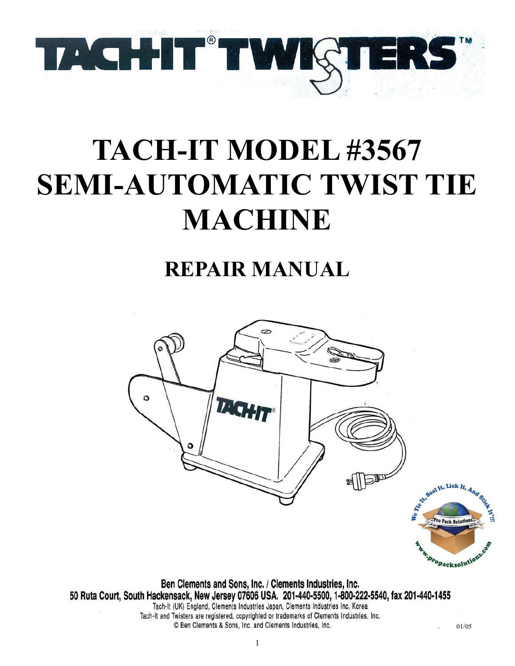

# **TACH-IT MODEL #3567 SEMI-AUTOMATIC TWIST TIE MACHINE**

## **REPAIR MANUAL**



Tach-It and Twisters are registered, copyrighted or trademarks of Clements Industries, Inc. © Ben Clements & Sons, Inc. and Clements Industries, Inc.

01/05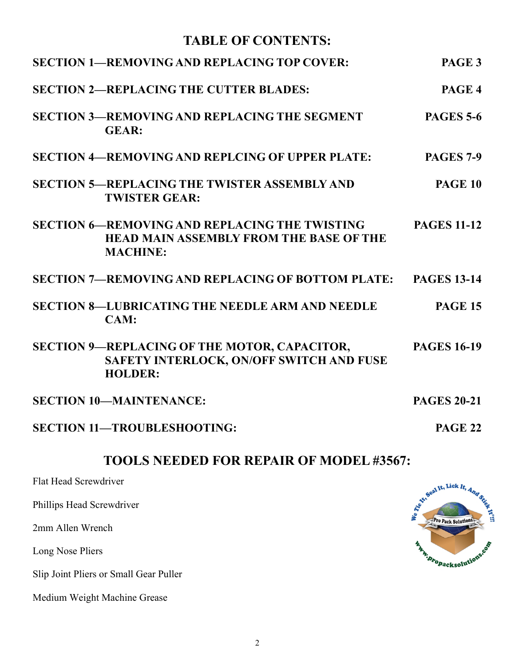## **TABLE OF CONTENTS:**

| <b>SECTION 1-REMOVING AND REPLACING TOP COVER:</b>                                                                        | PAGE <sub>3</sub>  |
|---------------------------------------------------------------------------------------------------------------------------|--------------------|
| <b>SECTION 2-REPLACING THE CUTTER BLADES:</b>                                                                             | PAGE 4             |
| <b>SECTION 3-REMOVING AND REPLACING THE SEGMENT</b><br><b>GEAR:</b>                                                       | <b>PAGES 5-6</b>   |
| <b>SECTION 4—REMOVING AND REPLCING OF UPPER PLATE:</b>                                                                    | <b>PAGES 7-9</b>   |
| <b>SECTION 5-REPLACING THE TWISTER ASSEMBLY AND</b><br><b>TWISTER GEAR:</b>                                               | <b>PAGE 10</b>     |
| <b>SECTION 6—REMOVING AND REPLACING THE TWISTING</b><br><b>HEAD MAIN ASSEMBLY FROM THE BASE OF THE</b><br><b>MACHINE:</b> | <b>PAGES 11-12</b> |
| <b>SECTION 7—REMOVING AND REPLACING OF BOTTOM PLATE:</b>                                                                  | <b>PAGES 13-14</b> |
| <b>SECTION 8-LUBRICATING THE NEEDLE ARM AND NEEDLE</b><br>CAM:                                                            | <b>PAGE 15</b>     |
| SECTION 9-REPLACING OF THE MOTOR, CAPACITOR,<br>SAFETY INTERLOCK, ON/OFF SWITCH AND FUSE<br><b>HOLDER:</b>                | <b>PAGES 16-19</b> |
| <b>SECTION 10-MAINTENANCE:</b>                                                                                            | <b>PAGES 20-21</b> |
| <b>SECTION 11-TROUBLESHOOTING:</b>                                                                                        | <b>PAGE 22</b>     |

## **TOOLS NEEDED FOR REPAIR OF MODEL #3567:**

Flat Head Screwdriver

Phillips Head Screwdriver

2mm Allen Wrench

Long Nose Pliers

Slip Joint Pliers or Small Gear Puller

Medium Weight Machine Grease

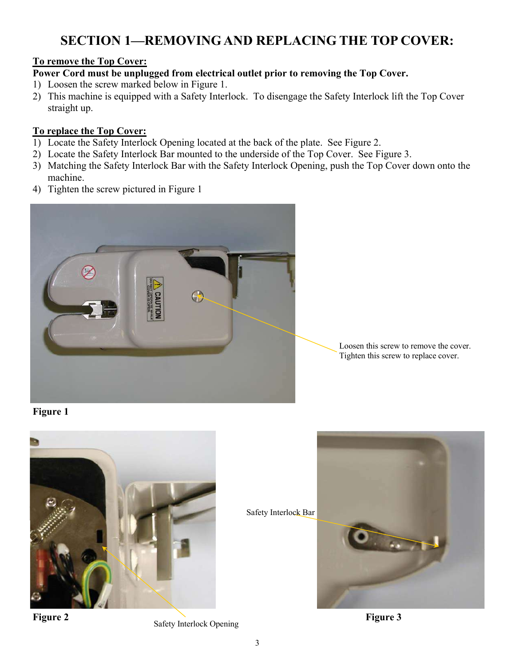## **SECTION 1—REMOVING AND REPLACING THE TOP COVER:**

#### **To remove the Top Cover:**

**Power Cord must be unplugged from electrical outlet prior to removing the Top Cover.**

- 1) Loosen the screw marked below in Figure 1.
- 2) This machine is equipped with a Safety Interlock. To disengage the Safety Interlock lift the Top Cover straight up.

#### **To replace the Top Cover:**

- 1) Locate the Safety Interlock Opening located at the back of the plate. See Figure 2.
- 2) Locate the Safety Interlock Bar mounted to the underside of the Top Cover. See Figure 3.
- 3) Matching the Safety Interlock Bar with the Safety Interlock Opening, push the Top Cover down onto the machine.
- 4) Tighten the screw pictured in Figure 1



Loosen this screw to remove the cover. Tighten this screw to replace cover.

**Figure 1** 



Safety Interlock Bar



**Figure 2 Safety Interlock Opening <b>Figure 3 Figure 3**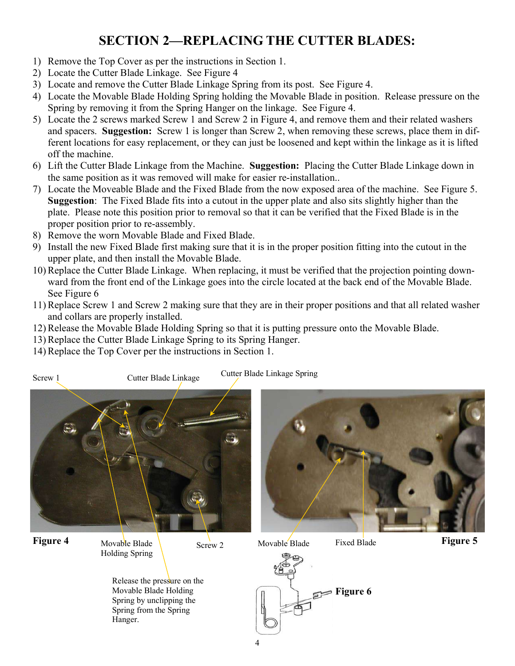## **SECTION 2—REPLACING THE CUTTER BLADES:**

- 1) Remove the Top Cover as per the instructions in Section 1.
- 2) Locate the Cutter Blade Linkage. See Figure 4
- 3) Locate and remove the Cutter Blade Linkage Spring from its post. See Figure 4.
- 4) Locate the Movable Blade Holding Spring holding the Movable Blade in position. Release pressure on the Spring by removing it from the Spring Hanger on the linkage. See Figure 4.
- 5) Locate the 2 screws marked Screw 1 and Screw 2 in Figure 4, and remove them and their related washers and spacers. **Suggestion:** Screw 1 is longer than Screw 2, when removing these screws, place them in different locations for easy replacement, or they can just be loosened and kept within the linkage as it is lifted off the machine.
- 6) Lift the Cutter Blade Linkage from the Machine. **Suggestion:** Placing the Cutter Blade Linkage down in the same position as it was removed will make for easier re-installation..
- 7) Locate the Moveable Blade and the Fixed Blade from the now exposed area of the machine. See Figure 5. **Suggestion**: The Fixed Blade fits into a cutout in the upper plate and also sits slightly higher than the plate. Please note this position prior to removal so that it can be verified that the Fixed Blade is in the proper position prior to re-assembly.
- 8) Remove the worn Movable Blade and Fixed Blade.
- 9) Install the new Fixed Blade first making sure that it is in the proper position fitting into the cutout in the upper plate, and then install the Movable Blade.
- 10) Replace the Cutter Blade Linkage. When replacing, it must be verified that the projection pointing downward from the front end of the Linkage goes into the circle located at the back end of the Movable Blade. See Figure 6
- 11) Replace Screw 1 and Screw 2 making sure that they are in their proper positions and that all related washer and collars are properly installed.
- 12) Release the Movable Blade Holding Spring so that it is putting pressure onto the Movable Blade.
- 13) Replace the Cutter Blade Linkage Spring to its Spring Hanger.
- 14) Replace the Top Cover per the instructions in Section 1.



**Figure 4** Movable Blade **1 And Screw 2** Movable Blade Fixed Blade **Figure 5** Movable Blade  $\bigcup_{\text{Screw 2}}$ Holding Spring

Movable Blade Fixed Blade

Release the pressure on the Movable Blade Holding Spring by unclipping the Spring from the Spring Hanger.



4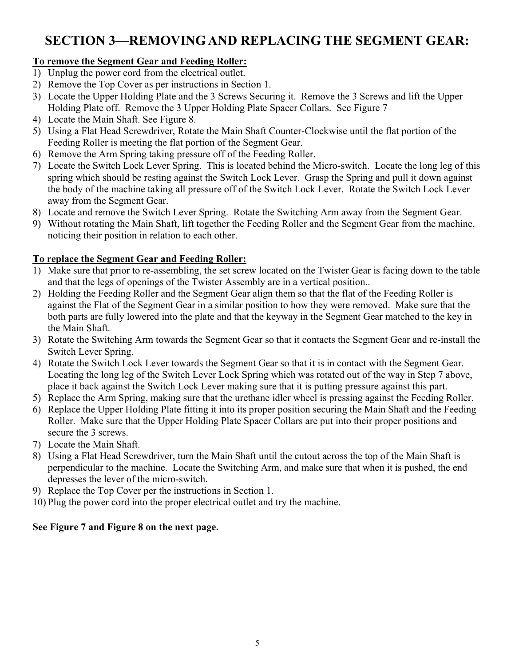## **SECTION 3—REMOVING AND REPLACING THE SEGMENT GEAR:**

#### **To remove the Segment Gear and Feeding Roller:**

- 1) Unplug the power cord from the electrical outlet.
- 2) Remove the Top Cover as per instructions in Section 1.
- 3) Locate the Upper Holding Plate and the 3 Screws Securing it. Remove the 3 Screws and lift the Upper Holding Plate off. Remove the 3 Upper Holding Plate Spacer Collars. See Figure 7
- 4) Locate the Main Shaft. See Figure 8.
- 5) Using a Flat Head Screwdriver, Rotate the Main Shaft Counter-Clockwise until the flat portion of the Feeding Roller is meeting the flat portion of the Segment Gear.
- 6) Remove the Arm Spring taking pressure off of the Feeding Roller.
- 7) Locate the Switch Lock Lever Spring. This is located behind the Micro-switch. Locate the long leg of this spring which should be resting against the Switch Lock Lever. Grasp the Spring and pull it down against the body of the machine taking all pressure off of the Switch Lock Lever. Rotate the Switch Lock Lever away from the Segment Gear.
- 8) Locate and remove the Switch Lever Spring. Rotate the Switching Arm away from the Segment Gear.
- 9) Without rotating the Main Shaft, lift together the Feeding Roller and the Segment Gear from the machine, noticing their position in relation to each other.

#### **To replace the Segment Gear and Feeding Roller:**

- 1) Make sure that prior to re-assembling, the set screw located on the Twister Gear is facing down to the table and that the legs of openings of the Twister Assembly are in a vertical position..
- 2) Holding the Feeding Roller and the Segment Gear align them so that the flat of the Feeding Roller is against the Flat of the Segment Gear in a similar position to how they were removed. Make sure that the both parts are fully lowered into the plate and that the keyway in the Segment Gear matched to the key in the Main Shaft.
- 3) Rotate the Switching Arm towards the Segment Gear so that it contacts the Segment Gear and re-install the Switch Lever Spring.
- 4) Rotate the Switch Lock Lever towards the Segment Gear so that it is in contact with the Segment Gear. Locating the long leg of the Switch Lever Lock Spring which was rotated out of the way in Step 7 above, place it back against the Switch Lock Lever making sure that it is putting pressure against this part.
- 5) Replace the Arm Spring, making sure that the urethane idler wheel is pressing against the Feeding Roller.
- 6) Replace the Upper Holding Plate fitting it into its proper position securing the Main Shaft and the Feeding Roller. Make sure that the Upper Holding Plate Spacer Collars are put into their proper positions and secure the 3 screws.
- 7) Locate the Main Shaft.
- 8) Using a Flat Head Screwdriver, turn the Main Shaft until the cutout across the top of the Main Shaft is perpendicular to the machine. Locate the Switching Arm, and make sure that when it is pushed, the end depresses the lever of the micro-switch.
- 9) Replace the Top Cover per the instructions in Section 1.
- 10) Plug the power cord into the proper electrical outlet and try the machine.

#### **See Figure 7 and Figure 8 on the next page.**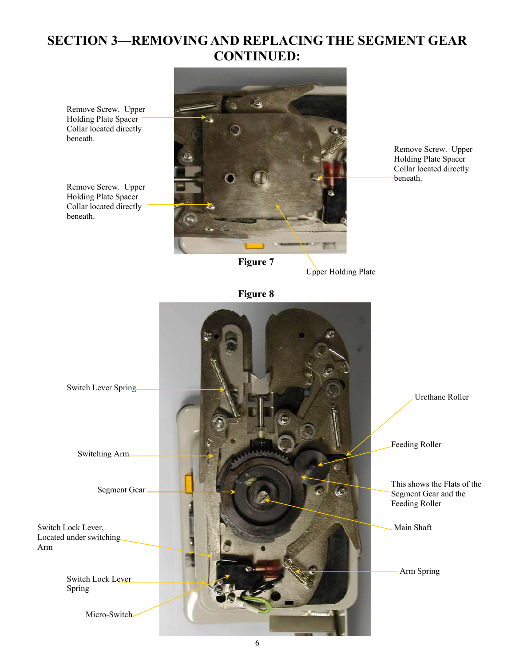## **SECTION 3—REMOVING AND REPLACING THE SEGMENT GEAR CONTINUED:**

Remove Screw. Upper Holding Plate Spacer Collar located directly beneath.

Remove Screw. Upper Holding Plate Spacer Collar located directly beneath.



Remove Screw. Upper Holding Plate Spacer Collar located directly beneath.

**Figure 7** 

Upper Holding Plate

**Figure 8** 

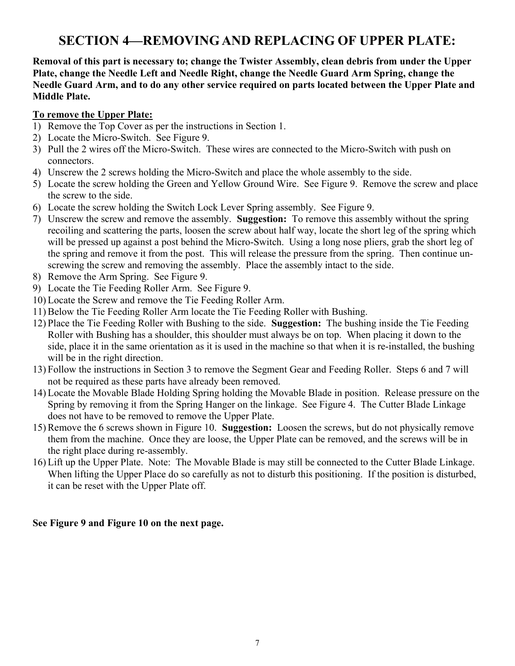## **SECTION 4—REMOVING AND REPLACING OF UPPER PLATE:**

**Removal of this part is necessary to; change the Twister Assembly, clean debris from under the Upper Plate, change the Needle Left and Needle Right, change the Needle Guard Arm Spring, change the Needle Guard Arm, and to do any other service required on parts located between the Upper Plate and Middle Plate.** 

#### **To remove the Upper Plate:**

- 1) Remove the Top Cover as per the instructions in Section 1.
- 2) Locate the Micro-Switch. See Figure 9.
- 3) Pull the 2 wires off the Micro-Switch. These wires are connected to the Micro-Switch with push on connectors.
- 4) Unscrew the 2 screws holding the Micro-Switch and place the whole assembly to the side.
- 5) Locate the screw holding the Green and Yellow Ground Wire. See Figure 9. Remove the screw and place the screw to the side.
- 6) Locate the screw holding the Switch Lock Lever Spring assembly. See Figure 9.
- 7) Unscrew the screw and remove the assembly. **Suggestion:** To remove this assembly without the spring recoiling and scattering the parts, loosen the screw about half way, locate the short leg of the spring which will be pressed up against a post behind the Micro-Switch. Using a long nose pliers, grab the short leg of the spring and remove it from the post. This will release the pressure from the spring. Then continue unscrewing the screw and removing the assembly. Place the assembly intact to the side.
- 8) Remove the Arm Spring. See Figure 9.
- 9) Locate the Tie Feeding Roller Arm. See Figure 9.
- 10) Locate the Screw and remove the Tie Feeding Roller Arm.
- 11) Below the Tie Feeding Roller Arm locate the Tie Feeding Roller with Bushing.
- 12) Place the Tie Feeding Roller with Bushing to the side. **Suggestion:** The bushing inside the Tie Feeding Roller with Bushing has a shoulder, this shoulder must always be on top. When placing it down to the side, place it in the same orientation as it is used in the machine so that when it is re-installed, the bushing will be in the right direction.
- 13) Follow the instructions in Section 3 to remove the Segment Gear and Feeding Roller. Steps 6 and 7 will not be required as these parts have already been removed.
- 14) Locate the Movable Blade Holding Spring holding the Movable Blade in position. Release pressure on the Spring by removing it from the Spring Hanger on the linkage. See Figure 4. The Cutter Blade Linkage does not have to be removed to remove the Upper Plate.
- 15) Remove the 6 screws shown in Figure 10. **Suggestion:** Loosen the screws, but do not physically remove them from the machine. Once they are loose, the Upper Plate can be removed, and the screws will be in the right place during re-assembly.
- 16) Lift up the Upper Plate. Note: The Movable Blade is may still be connected to the Cutter Blade Linkage. When lifting the Upper Place do so carefully as not to disturb this positioning. If the position is disturbed, it can be reset with the Upper Plate off.

#### **See Figure 9 and Figure 10 on the next page.**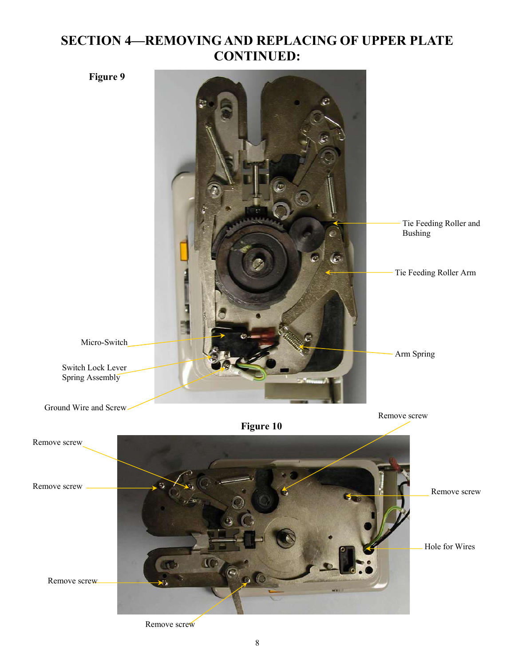## **SECTION 4—REMOVING AND REPLACING OF UPPER PLATE CONTINUED:**



Remove screw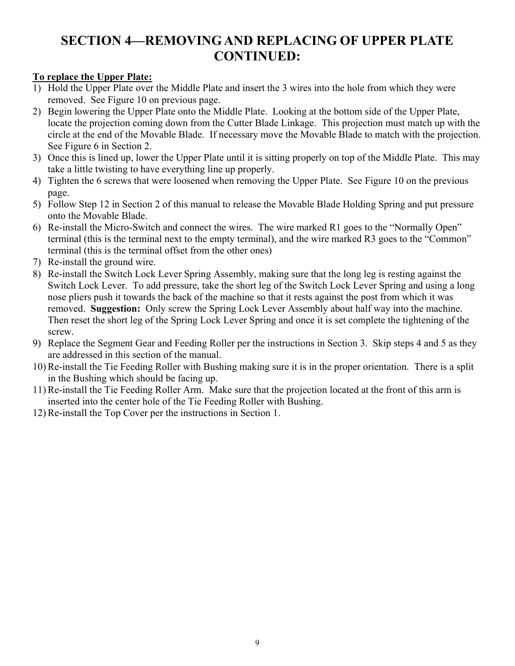## **SECTION 4—REMOVING AND REPLACING OF UPPER PLATE CONTINUED:**

#### **To replace the Upper Plate:**

- 1) Hold the Upper Plate over the Middle Plate and insert the 3 wires into the hole from which they were removed. See Figure 10 on previous page.
- 2) Begin lowering the Upper Plate onto the Middle Plate. Looking at the bottom side of the Upper Plate, locate the projection coming down from the Cutter Blade Linkage. This projection must match up with the circle at the end of the Movable Blade. If necessary move the Movable Blade to match with the projection. See Figure 6 in Section 2.
- 3) Once this is lined up, lower the Upper Plate until it is sitting properly on top of the Middle Plate. This may take a little twisting to have everything line up properly.
- 4) Tighten the 6 screws that were loosened when removing the Upper Plate. See Figure 10 on the previous page.
- 5) Follow Step 12 in Section 2 of this manual to release the Movable Blade Holding Spring and put pressure onto the Movable Blade.
- 6) Re-install the Micro-Switch and connect the wires. The wire marked R1 goes to the "Normally Open" terminal (this is the terminal next to the empty terminal), and the wire marked R3 goes to the "Common" terminal (this is the terminal offset from the other ones)
- 7) Re-install the ground wire.
- 8) Re-install the Switch Lock Lever Spring Assembly, making sure that the long leg is resting against the Switch Lock Lever. To add pressure, take the short leg of the Switch Lock Lever Spring and using a long nose pliers push it towards the back of the machine so that it rests against the post from which it was removed. **Suggestion:** Only screw the Spring Lock Lever Assembly about half way into the machine. Then reset the short leg of the Spring Lock Lever Spring and once it is set complete the tightening of the screw.
- 9) Replace the Segment Gear and Feeding Roller per the instructions in Section 3. Skip steps 4 and 5 as they are addressed in this section of the manual.
- 10) Re-install the Tie Feeding Roller with Bushing making sure it is in the proper orientation. There is a split in the Bushing which should be facing up.
- 11) Re-install the Tie Feeding Roller Arm. Make sure that the projection located at the front of this arm is inserted into the center hole of the Tie Feeding Roller with Bushing.
- 12) Re-install the Top Cover per the instructions in Section 1.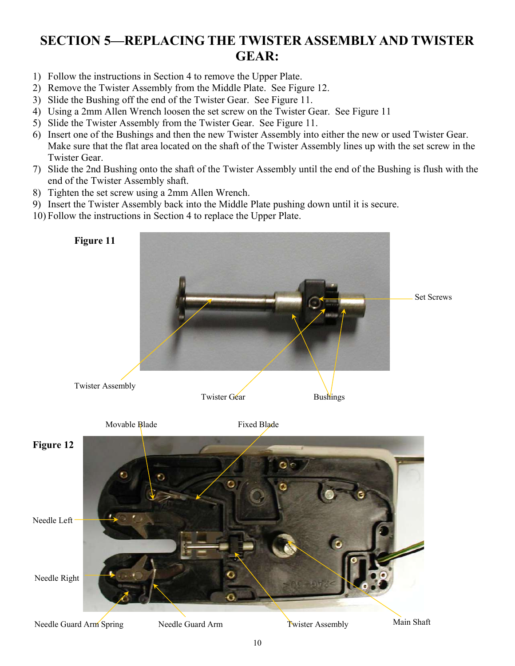## **SECTION 5—REPLACING THE TWISTER ASSEMBLY AND TWISTER GEAR:**

- 1) Follow the instructions in Section 4 to remove the Upper Plate.
- 2) Remove the Twister Assembly from the Middle Plate. See Figure 12.
- 3) Slide the Bushing off the end of the Twister Gear. See Figure 11.
- 4) Using a 2mm Allen Wrench loosen the set screw on the Twister Gear. See Figure 11
- 5) Slide the Twister Assembly from the Twister Gear. See Figure 11.
- 6) Insert one of the Bushings and then the new Twister Assembly into either the new or used Twister Gear. Make sure that the flat area located on the shaft of the Twister Assembly lines up with the set screw in the Twister Gear.
- 7) Slide the 2nd Bushing onto the shaft of the Twister Assembly until the end of the Bushing is flush with the end of the Twister Assembly shaft.
- 8) Tighten the set screw using a 2mm Allen Wrench.
- 9) Insert the Twister Assembly back into the Middle Plate pushing down until it is secure.
- 10) Follow the instructions in Section 4 to replace the Upper Plate.

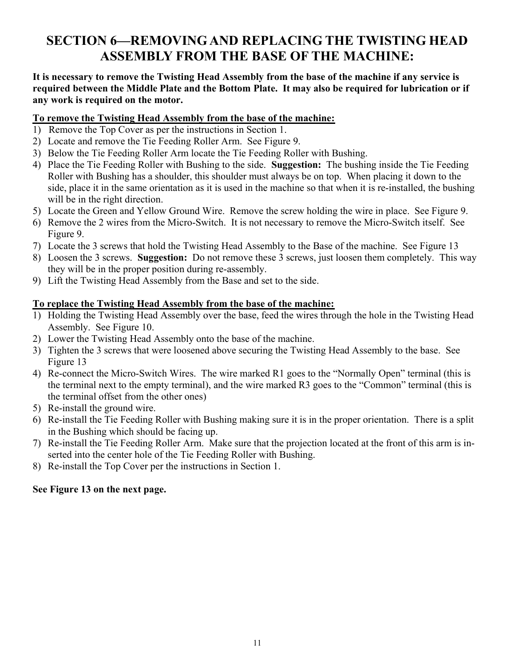## **SECTION 6—REMOVING AND REPLACING THE TWISTING HEAD ASSEMBLY FROM THE BASE OF THE MACHINE:**

#### **It is necessary to remove the Twisting Head Assembly from the base of the machine if any service is required between the Middle Plate and the Bottom Plate. It may also be required for lubrication or if any work is required on the motor.**

#### **To remove the Twisting Head Assembly from the base of the machine:**

- 1) Remove the Top Cover as per the instructions in Section 1.
- 2) Locate and remove the Tie Feeding Roller Arm. See Figure 9.
- 3) Below the Tie Feeding Roller Arm locate the Tie Feeding Roller with Bushing.
- 4) Place the Tie Feeding Roller with Bushing to the side. **Suggestion:** The bushing inside the Tie Feeding Roller with Bushing has a shoulder, this shoulder must always be on top. When placing it down to the side, place it in the same orientation as it is used in the machine so that when it is re-installed, the bushing will be in the right direction.
- 5) Locate the Green and Yellow Ground Wire. Remove the screw holding the wire in place. See Figure 9.
- 6) Remove the 2 wires from the Micro-Switch. It is not necessary to remove the Micro-Switch itself. See Figure 9.
- 7) Locate the 3 screws that hold the Twisting Head Assembly to the Base of the machine. See Figure 13
- 8) Loosen the 3 screws. **Suggestion:** Do not remove these 3 screws, just loosen them completely. This way they will be in the proper position during re-assembly.
- 9) Lift the Twisting Head Assembly from the Base and set to the side.

#### **To replace the Twisting Head Assembly from the base of the machine:**

- 1) Holding the Twisting Head Assembly over the base, feed the wires through the hole in the Twisting Head Assembly. See Figure 10.
- 2) Lower the Twisting Head Assembly onto the base of the machine.
- 3) Tighten the 3 screws that were loosened above securing the Twisting Head Assembly to the base. See Figure 13
- 4) Re-connect the Micro-Switch Wires. The wire marked R1 goes to the "Normally Open" terminal (this is the terminal next to the empty terminal), and the wire marked R3 goes to the "Common" terminal (this is the terminal offset from the other ones)
- 5) Re-install the ground wire.
- 6) Re-install the Tie Feeding Roller with Bushing making sure it is in the proper orientation. There is a split in the Bushing which should be facing up.
- 7) Re-install the Tie Feeding Roller Arm. Make sure that the projection located at the front of this arm is inserted into the center hole of the Tie Feeding Roller with Bushing.
- 8) Re-install the Top Cover per the instructions in Section 1.

#### **See Figure 13 on the next page.**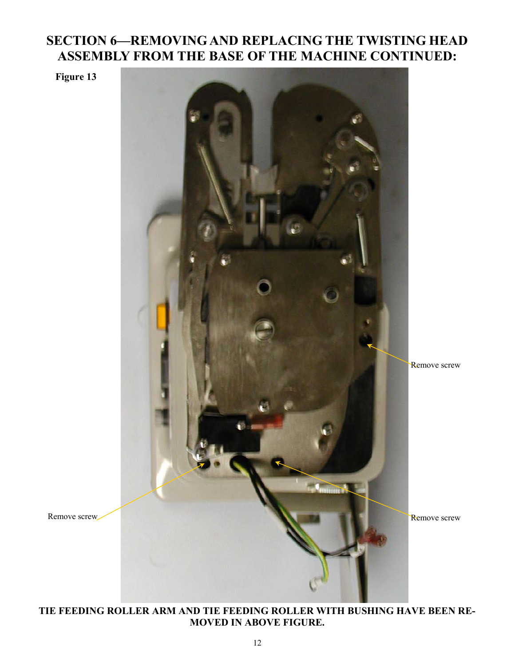## **SECTION 6—REMOVING AND REPLACING THE TWISTING HEAD ASSEMBLY FROM THE BASE OF THE MACHINE CONTINUED:**

**Figure 13** 



**TIE FEEDING ROLLER ARM AND TIE FEEDING ROLLER WITH BUSHING HAVE BEEN RE-MOVED IN ABOVE FIGURE.**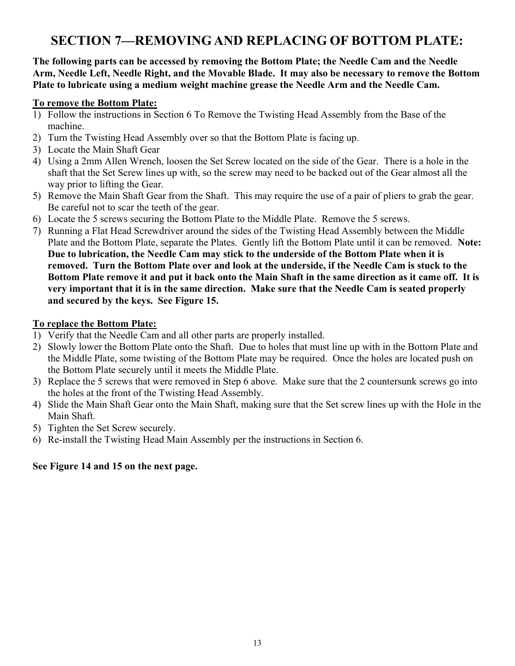## **SECTION 7—REMOVING AND REPLACING OF BOTTOM PLATE:**

**The following parts can be accessed by removing the Bottom Plate; the Needle Cam and the Needle Arm, Needle Left, Needle Right, and the Movable Blade. It may also be necessary to remove the Bottom Plate to lubricate using a medium weight machine grease the Needle Arm and the Needle Cam.** 

#### **To remove the Bottom Plate:**

- 1) Follow the instructions in Section 6 To Remove the Twisting Head Assembly from the Base of the machine.
- 2) Turn the Twisting Head Assembly over so that the Bottom Plate is facing up.
- 3) Locate the Main Shaft Gear
- 4) Using a 2mm Allen Wrench, loosen the Set Screw located on the side of the Gear. There is a hole in the shaft that the Set Screw lines up with, so the screw may need to be backed out of the Gear almost all the way prior to lifting the Gear.
- 5) Remove the Main Shaft Gear from the Shaft. This may require the use of a pair of pliers to grab the gear. Be careful not to scar the teeth of the gear.
- 6) Locate the 5 screws securing the Bottom Plate to the Middle Plate. Remove the 5 screws.
- 7) Running a Flat Head Screwdriver around the sides of the Twisting Head Assembly between the Middle Plate and the Bottom Plate, separate the Plates. Gently lift the Bottom Plate until it can be removed. **Note: Due to lubrication, the Needle Cam may stick to the underside of the Bottom Plate when it is removed. Turn the Bottom Plate over and look at the underside, if the Needle Cam is stuck to the Bottom Plate remove it and put it back onto the Main Shaft in the same direction as it came off. It is very important that it is in the same direction. Make sure that the Needle Cam is seated properly and secured by the keys. See Figure 15.**

#### **To replace the Bottom Plate:**

- 1) Verify that the Needle Cam and all other parts are properly installed.
- 2) Slowly lower the Bottom Plate onto the Shaft. Due to holes that must line up with in the Bottom Plate and the Middle Plate, some twisting of the Bottom Plate may be required. Once the holes are located push on the Bottom Plate securely until it meets the Middle Plate.
- 3) Replace the 5 screws that were removed in Step 6 above. Make sure that the 2 countersunk screws go into the holes at the front of the Twisting Head Assembly.
- 4) Slide the Main Shaft Gear onto the Main Shaft, making sure that the Set screw lines up with the Hole in the Main Shaft.
- 5) Tighten the Set Screw securely.
- 6) Re-install the Twisting Head Main Assembly per the instructions in Section 6.

#### **See Figure 14 and 15 on the next page.**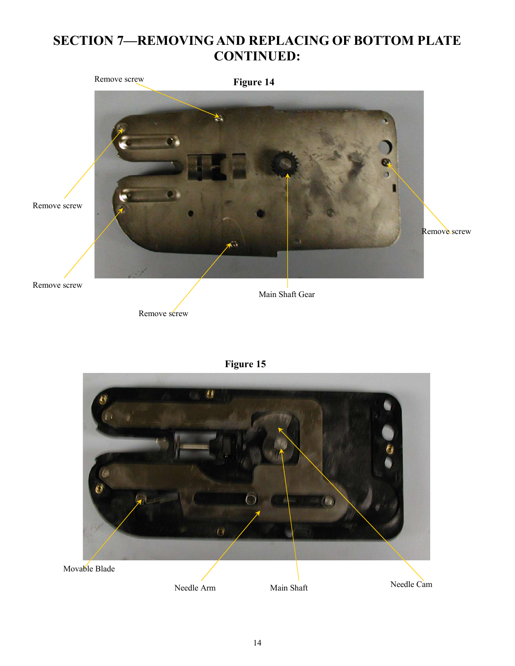## **SECTION 7—REMOVING AND REPLACING OF BOTTOM PLATE CONTINUED:**



**Figure 15** 

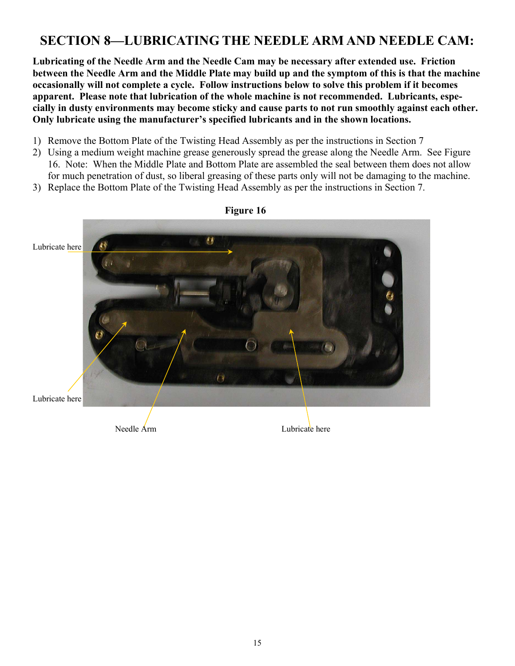## **SECTION 8—LUBRICATING THE NEEDLE ARM AND NEEDLE CAM:**

**Lubricating of the Needle Arm and the Needle Cam may be necessary after extended use. Friction between the Needle Arm and the Middle Plate may build up and the symptom of this is that the machine occasionally will not complete a cycle. Follow instructions below to solve this problem if it becomes apparent. Please note that lubrication of the whole machine is not recommended. Lubricants, especially in dusty environments may become sticky and cause parts to not run smoothly against each other. Only lubricate using the manufacturer's specified lubricants and in the shown locations.** 

- 1) Remove the Bottom Plate of the Twisting Head Assembly as per the instructions in Section 7
- 2) Using a medium weight machine grease generously spread the grease along the Needle Arm. See Figure 16. Note: When the Middle Plate and Bottom Plate are assembled the seal between them does not allow for much penetration of dust, so liberal greasing of these parts only will not be damaging to the machine.
- 3) Replace the Bottom Plate of the Twisting Head Assembly as per the instructions in Section 7.



#### **Figure 16**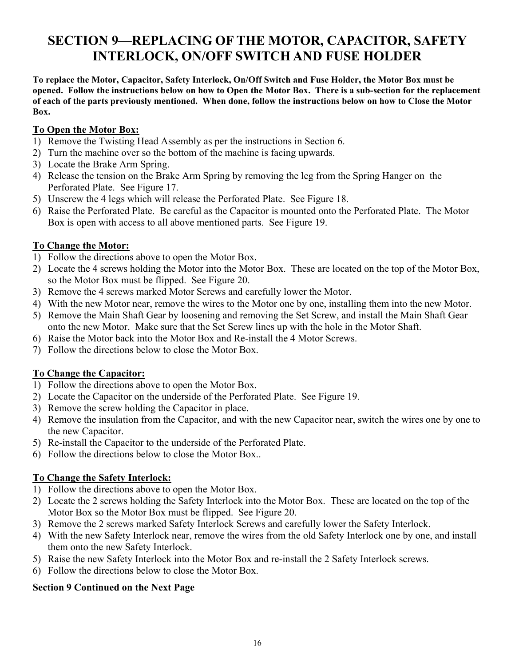## **SECTION 9—REPLACING OF THE MOTOR, CAPACITOR, SAFETY INTERLOCK, ON/OFF SWITCH AND FUSE HOLDER**

**To replace the Motor, Capacitor, Safety Interlock, On/Off Switch and Fuse Holder, the Motor Box must be opened. Follow the instructions below on how to Open the Motor Box. There is a sub-section for the replacement of each of the parts previously mentioned. When done, follow the instructions below on how to Close the Motor Box.**

#### **To Open the Motor Box:**

- 1) Remove the Twisting Head Assembly as per the instructions in Section 6.
- 2) Turn the machine over so the bottom of the machine is facing upwards.
- 3) Locate the Brake Arm Spring.
- 4) Release the tension on the Brake Arm Spring by removing the leg from the Spring Hanger on the Perforated Plate. See Figure 17.
- 5) Unscrew the 4 legs which will release the Perforated Plate. See Figure 18.
- 6) Raise the Perforated Plate. Be careful as the Capacitor is mounted onto the Perforated Plate. The Motor Box is open with access to all above mentioned parts. See Figure 19.

#### **To Change the Motor:**

- 1) Follow the directions above to open the Motor Box.
- 2) Locate the 4 screws holding the Motor into the Motor Box. These are located on the top of the Motor Box, so the Motor Box must be flipped. See Figure 20.
- 3) Remove the 4 screws marked Motor Screws and carefully lower the Motor.
- 4) With the new Motor near, remove the wires to the Motor one by one, installing them into the new Motor.
- 5) Remove the Main Shaft Gear by loosening and removing the Set Screw, and install the Main Shaft Gear onto the new Motor. Make sure that the Set Screw lines up with the hole in the Motor Shaft.
- 6) Raise the Motor back into the Motor Box and Re-install the 4 Motor Screws.
- 7) Follow the directions below to close the Motor Box.

#### **To Change the Capacitor:**

- 1) Follow the directions above to open the Motor Box.
- 2) Locate the Capacitor on the underside of the Perforated Plate. See Figure 19.
- 3) Remove the screw holding the Capacitor in place.
- 4) Remove the insulation from the Capacitor, and with the new Capacitor near, switch the wires one by one to the new Capacitor.
- 5) Re-install the Capacitor to the underside of the Perforated Plate.
- 6) Follow the directions below to close the Motor Box..

#### **To Change the Safety Interlock:**

- 1) Follow the directions above to open the Motor Box.
- 2) Locate the 2 screws holding the Safety Interlock into the Motor Box. These are located on the top of the Motor Box so the Motor Box must be flipped. See Figure 20.
- 3) Remove the 2 screws marked Safety Interlock Screws and carefully lower the Safety Interlock.
- 4) With the new Safety Interlock near, remove the wires from the old Safety Interlock one by one, and install them onto the new Safety Interlock.
- 5) Raise the new Safety Interlock into the Motor Box and re-install the 2 Safety Interlock screws.
- 6) Follow the directions below to close the Motor Box.

#### **Section 9 Continued on the Next Page**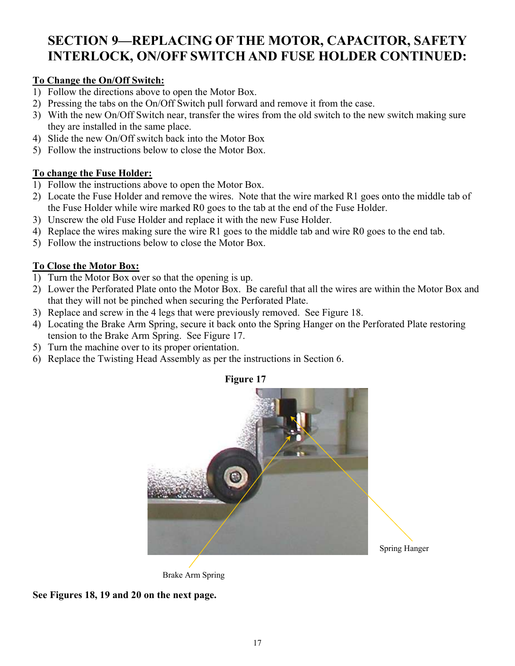## **SECTION 9—REPLACING OF THE MOTOR, CAPACITOR, SAFETY INTERLOCK, ON/OFF SWITCH AND FUSE HOLDER CONTINUED:**

#### **To Change the On/Off Switch:**

- 1) Follow the directions above to open the Motor Box.
- 2) Pressing the tabs on the On/Off Switch pull forward and remove it from the case.
- 3) With the new On/Off Switch near, transfer the wires from the old switch to the new switch making sure they are installed in the same place.
- 4) Slide the new On/Off switch back into the Motor Box
- 5) Follow the instructions below to close the Motor Box.

#### **To change the Fuse Holder:**

- 1) Follow the instructions above to open the Motor Box.
- 2) Locate the Fuse Holder and remove the wires. Note that the wire marked R1 goes onto the middle tab of the Fuse Holder while wire marked R0 goes to the tab at the end of the Fuse Holder.
- 3) Unscrew the old Fuse Holder and replace it with the new Fuse Holder.
- 4) Replace the wires making sure the wire R1 goes to the middle tab and wire R0 goes to the end tab.
- 5) Follow the instructions below to close the Motor Box.

#### **To Close the Motor Box:**

- 1) Turn the Motor Box over so that the opening is up.
- 2) Lower the Perforated Plate onto the Motor Box. Be careful that all the wires are within the Motor Box and that they will not be pinched when securing the Perforated Plate.
- 3) Replace and screw in the 4 legs that were previously removed. See Figure 18.
- 4) Locating the Brake Arm Spring, secure it back onto the Spring Hanger on the Perforated Plate restoring tension to the Brake Arm Spring. See Figure 17.
- 5) Turn the machine over to its proper orientation.
- 6) Replace the Twisting Head Assembly as per the instructions in Section 6.



Brake Arm Spring

**See Figures 18, 19 and 20 on the next page.**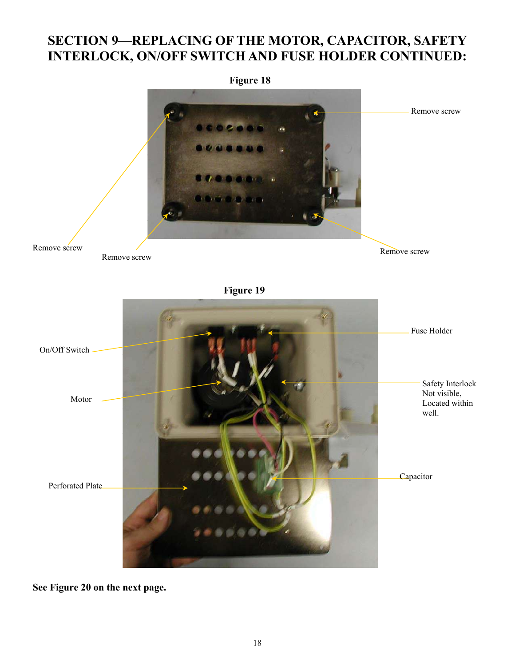## **SECTION 9—REPLACING OF THE MOTOR, CAPACITOR, SAFETY INTERLOCK, ON/OFF SWITCH AND FUSE HOLDER CONTINUED:**



**See Figure 20 on the next page.**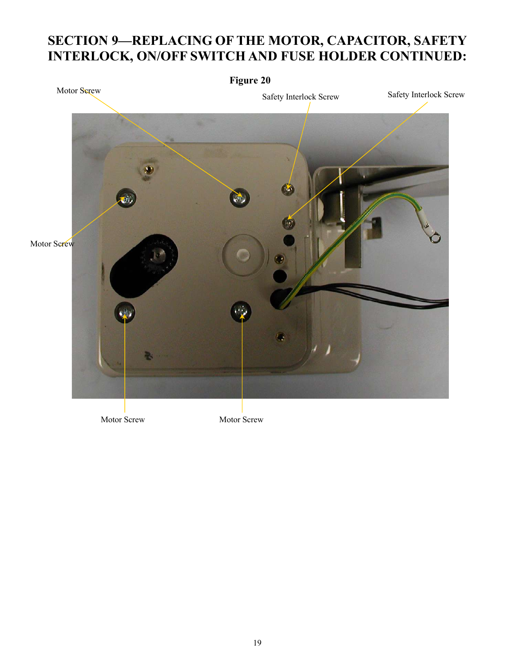## **SECTION 9—REPLACING OF THE MOTOR, CAPACITOR, SAFETY INTERLOCK, ON/OFF SWITCH AND FUSE HOLDER CONTINUED:**



Motor Screw Motor Screw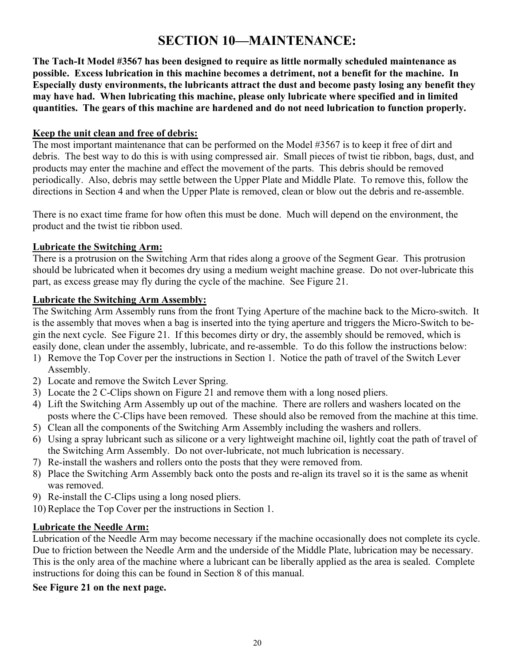## **SECTION 10—MAINTENANCE:**

**The Tach-It Model #3567 has been designed to require as little normally scheduled maintenance as possible. Excess lubrication in this machine becomes a detriment, not a benefit for the machine. In Especially dusty environments, the lubricants attract the dust and become pasty losing any benefit they may have had. When lubricating this machine, please only lubricate where specified and in limited quantities. The gears of this machine are hardened and do not need lubrication to function properly.** 

#### **Keep the unit clean and free of debris:**

The most important maintenance that can be performed on the Model #3567 is to keep it free of dirt and debris. The best way to do this is with using compressed air. Small pieces of twist tie ribbon, bags, dust, and products may enter the machine and effect the movement of the parts. This debris should be removed periodically. Also, debris may settle between the Upper Plate and Middle Plate. To remove this, follow the directions in Section 4 and when the Upper Plate is removed, clean or blow out the debris and re-assemble.

There is no exact time frame for how often this must be done. Much will depend on the environment, the product and the twist tie ribbon used.

#### **Lubricate the Switching Arm:**

There is a protrusion on the Switching Arm that rides along a groove of the Segment Gear. This protrusion should be lubricated when it becomes dry using a medium weight machine grease. Do not over-lubricate this part, as excess grease may fly during the cycle of the machine. See Figure 21.

#### **Lubricate the Switching Arm Assembly:**

The Switching Arm Assembly runs from the front Tying Aperture of the machine back to the Micro-switch. It is the assembly that moves when a bag is inserted into the tying aperture and triggers the Micro-Switch to begin the next cycle. See Figure 21. If this becomes dirty or dry, the assembly should be removed, which is easily done, clean under the assembly, lubricate, and re-assemble. To do this follow the instructions below:

- 1) Remove the Top Cover per the instructions in Section 1. Notice the path of travel of the Switch Lever Assembly.
- 2) Locate and remove the Switch Lever Spring.
- 3) Locate the 2 C-Clips shown on Figure 21 and remove them with a long nosed pliers.
- 4) Lift the Switching Arm Assembly up out of the machine. There are rollers and washers located on the posts where the C-Clips have been removed. These should also be removed from the machine at this time.
- 5) Clean all the components of the Switching Arm Assembly including the washers and rollers.
- 6) Using a spray lubricant such as silicone or a very lightweight machine oil, lightly coat the path of travel of the Switching Arm Assembly. Do not over-lubricate, not much lubrication is necessary.
- 7) Re-install the washers and rollers onto the posts that they were removed from.
- 8) Place the Switching Arm Assembly back onto the posts and re-align its travel so it is the same as whenit was removed.
- 9) Re-install the C-Clips using a long nosed pliers.
- 10) Replace the Top Cover per the instructions in Section 1.

#### **Lubricate the Needle Arm:**

Lubrication of the Needle Arm may become necessary if the machine occasionally does not complete its cycle. Due to friction between the Needle Arm and the underside of the Middle Plate, lubrication may be necessary. This is the only area of the machine where a lubricant can be liberally applied as the area is sealed. Complete instructions for doing this can be found in Section 8 of this manual.

#### **See Figure 21 on the next page.**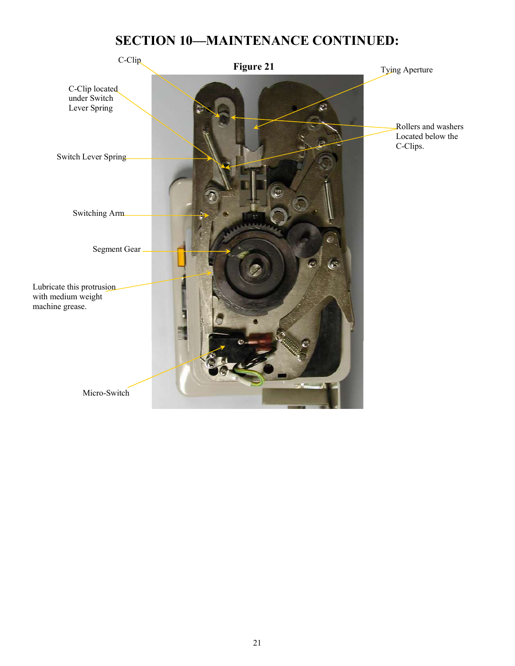## **SECTION 10—MAINTENANCE CONTINUED:**